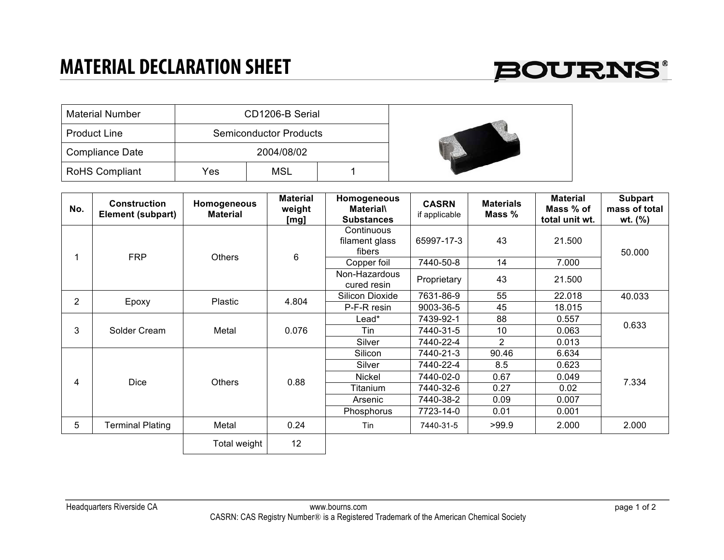## **MATERIAL DECLARATION SHEET**



| <b>Material Number</b> |     | CD1206-B Serial               |  |  |
|------------------------|-----|-------------------------------|--|--|
| <b>Product Line</b>    |     | <b>Semiconductor Products</b> |  |  |
| <b>Compliance Date</b> |     | 2004/08/02                    |  |  |
| <b>RoHS Compliant</b>  | Yes | MSL                           |  |  |

| No.            | <b>Construction</b><br><b>Element (subpart)</b> | Homogeneous<br><b>Material</b> | <b>Material</b><br>weight<br>[mg] | Homogeneous<br><b>Material</b><br><b>Substances</b> | <b>CASRN</b><br>if applicable | <b>Materials</b><br>Mass % | <b>Material</b><br>Mass % of<br>total unit wt. | <b>Subpart</b><br>mass of total<br>wt. $(\% )$ |
|----------------|-------------------------------------------------|--------------------------------|-----------------------------------|-----------------------------------------------------|-------------------------------|----------------------------|------------------------------------------------|------------------------------------------------|
|                | <b>FRP</b>                                      | <b>Others</b>                  | 6                                 | Continuous<br>filament glass<br>fibers              | 65997-17-3                    | 43                         | 21.500                                         | 50.000                                         |
|                |                                                 |                                |                                   | Copper foil                                         | 7440-50-8                     | 14                         | 7.000                                          |                                                |
|                |                                                 |                                |                                   | Non-Hazardous<br>cured resin                        | Proprietary                   | 43                         | 21.500                                         |                                                |
| $\overline{2}$ | Epoxy                                           | Plastic                        | 4.804                             | Silicon Dioxide                                     | 7631-86-9                     | 55                         | 22.018                                         | 40.033                                         |
|                |                                                 |                                |                                   | P-F-R resin                                         | 9003-36-5                     | 45                         | 18.015                                         |                                                |
| 3              |                                                 | Metal                          | 0.076                             | Lead*                                               | 7439-92-1                     | 88                         | 0.557                                          | 0.633                                          |
|                | Solder Cream                                    |                                |                                   | Tin                                                 | 7440-31-5                     | 10                         | 0.063                                          |                                                |
|                |                                                 |                                |                                   | Silver                                              | 7440-22-4                     | $\overline{2}$             | 0.013                                          |                                                |
| 4              |                                                 | <b>Others</b>                  | 0.88                              | Silicon                                             | 7440-21-3                     | 90.46                      | 6.634                                          | 7.334                                          |
|                |                                                 |                                |                                   | Silver                                              | 7440-22-4                     | 8.5                        | 0.623                                          |                                                |
|                | Dice                                            |                                |                                   | Nickel                                              | 7440-02-0                     | 0.67                       | 0.049                                          |                                                |
|                |                                                 |                                |                                   | Titanium                                            | 7440-32-6                     | 0.27                       | 0.02                                           |                                                |
|                |                                                 |                                |                                   | Arsenic                                             | 7440-38-2                     | 0.09                       | 0.007                                          |                                                |
|                |                                                 |                                |                                   | Phosphorus                                          | 7723-14-0                     | 0.01                       | 0.001                                          |                                                |
| 5              | <b>Terminal Plating</b>                         | Metal                          | 0.24                              | Tin                                                 | 7440-31-5                     | >99.9                      | 2.000                                          | 2.000                                          |
|                |                                                 | Total weight                   | 12                                |                                                     |                               |                            |                                                |                                                |